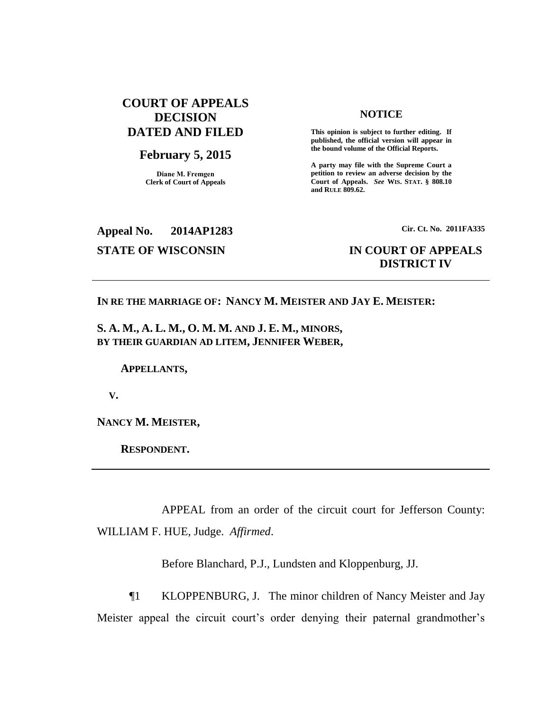# **COURT OF APPEALS DECISION DATED AND FILED**

# **February 5, 2015**

**Diane M. Fremgen Clerk of Court of Appeals**

#### **NOTICE**

**This opinion is subject to further editing. If published, the official version will appear in the bound volume of the Official Reports.** 

**A party may file with the Supreme Court a petition to review an adverse decision by the Court of Appeals.** *See* **WIS. STAT. § 808.10 and RULE 809.62.** 

# **Appeal No. 2014AP1283 Cir. Ct. No. 2011FA335**

# **STATE OF WISCONSIN IN COURT OF APPEALS DISTRICT IV**

### **IN RE THE MARRIAGE OF: NANCY M. MEISTER AND JAY E. MEISTER:**

**S. A. M., A. L. M., O. M. M. AND J. E. M., MINORS, BY THEIR GUARDIAN AD LITEM, JENNIFER WEBER,**

 **APPELLANTS,**

 **V.**

**NANCY M. MEISTER,**

 **RESPONDENT.**

APPEAL from an order of the circuit court for Jefferson County: WILLIAM F. HUE, Judge. *Affirmed*.

Before Blanchard, P.J., Lundsten and Kloppenburg, JJ.

¶1 KLOPPENBURG, J. The minor children of Nancy Meister and Jay Meister appeal the circuit court's order denying their paternal grandmother's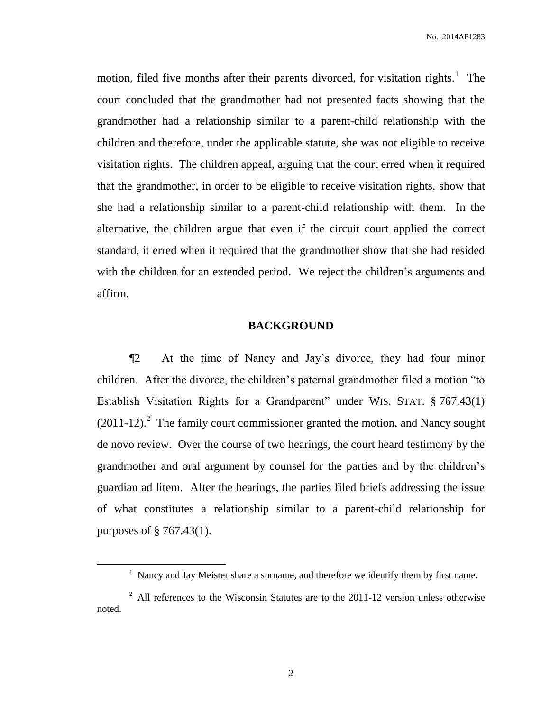motion, filed five months after their parents divorced, for visitation rights.<sup>1</sup> The court concluded that the grandmother had not presented facts showing that the grandmother had a relationship similar to a parent-child relationship with the children and therefore, under the applicable statute, she was not eligible to receive visitation rights. The children appeal, arguing that the court erred when it required that the grandmother, in order to be eligible to receive visitation rights, show that she had a relationship similar to a parent-child relationship with them. In the alternative, the children argue that even if the circuit court applied the correct standard, it erred when it required that the grandmother show that she had resided with the children for an extended period. We reject the children's arguments and affirm.

## **BACKGROUND**

¶2 At the time of Nancy and Jay's divorce, they had four minor children. After the divorce, the children's paternal grandmother filed a motion "to Establish Visitation Rights for a Grandparent" under WIS. STAT. § 767.43(1)  $(2011-12).$ <sup>2</sup> The family court commissioner granted the motion, and Nancy sought de novo review. Over the course of two hearings, the court heard testimony by the grandmother and oral argument by counsel for the parties and by the children's guardian ad litem. After the hearings, the parties filed briefs addressing the issue of what constitutes a relationship similar to a parent-child relationship for purposes of § 767.43(1).

 $\overline{a}$ 

 $<sup>1</sup>$  Nancy and Jay Meister share a surname, and therefore we identify them by first name.</sup>

 $2$  All references to the Wisconsin Statutes are to the 2011-12 version unless otherwise noted.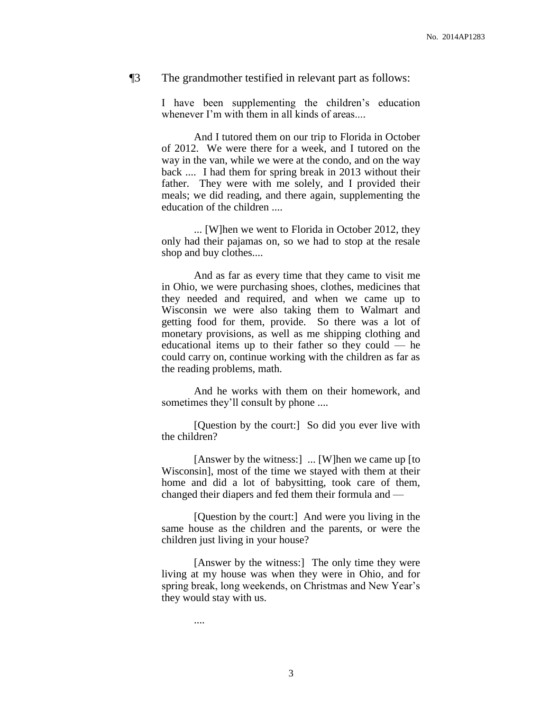#### ¶3 The grandmother testified in relevant part as follows:

I have been supplementing the children's education whenever I'm with them in all kinds of areas...

And I tutored them on our trip to Florida in October of 2012. We were there for a week, and I tutored on the way in the van, while we were at the condo, and on the way back .... I had them for spring break in 2013 without their father. They were with me solely, and I provided their meals; we did reading, and there again, supplementing the education of the children ....

... [W]hen we went to Florida in October 2012, they only had their pajamas on, so we had to stop at the resale shop and buy clothes....

And as far as every time that they came to visit me in Ohio, we were purchasing shoes, clothes, medicines that they needed and required, and when we came up to Wisconsin we were also taking them to Walmart and getting food for them, provide. So there was a lot of monetary provisions, as well as me shipping clothing and educational items up to their father so they could — he could carry on, continue working with the children as far as the reading problems, math.

And he works with them on their homework, and sometimes they'll consult by phone ....

[Question by the court:] So did you ever live with the children?

[Answer by the witness:] ... [W]hen we came up [to Wisconsin], most of the time we stayed with them at their home and did a lot of babysitting, took care of them, changed their diapers and fed them their formula and —

[Question by the court:] And were you living in the same house as the children and the parents, or were the children just living in your house?

[Answer by the witness:] The only time they were living at my house was when they were in Ohio, and for spring break, long weekends, on Christmas and New Year's they would stay with us.

....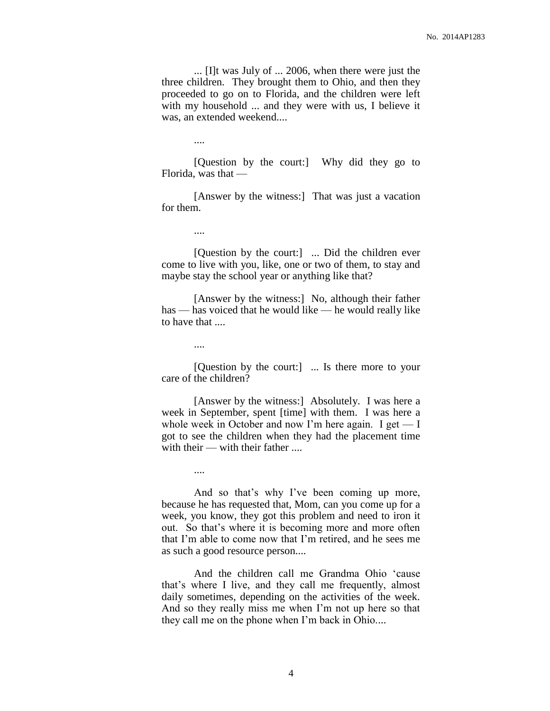... [I]t was July of ... 2006, when there were just the three children. They brought them to Ohio, and then they proceeded to go on to Florida, and the children were left with my household ... and they were with us, I believe it was, an extended weekend....

....

[Question by the court:] Why did they go to Florida, was that —

[Answer by the witness:] That was just a vacation for them.

....

[Question by the court:] ... Did the children ever come to live with you, like, one or two of them, to stay and maybe stay the school year or anything like that?

[Answer by the witness:] No, although their father has — has voiced that he would like — he would really like to have that ....

....

....

[Question by the court:] ... Is there more to your care of the children?

[Answer by the witness:] Absolutely. I was here a week in September, spent [time] with them. I was here a whole week in October and now I'm here again. I get  $-1$ got to see the children when they had the placement time with their — with their father ....

And so that's why I've been coming up more, because he has requested that, Mom, can you come up for a week, you know, they got this problem and need to iron it out. So that's where it is becoming more and more often that I'm able to come now that I'm retired, and he sees me as such a good resource person....

And the children call me Grandma Ohio 'cause that's where I live, and they call me frequently, almost daily sometimes, depending on the activities of the week. And so they really miss me when I'm not up here so that they call me on the phone when I'm back in Ohio....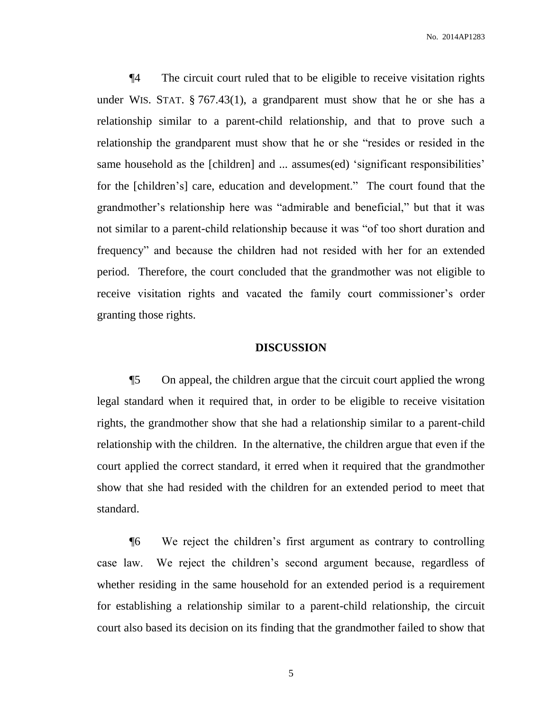¶4 The circuit court ruled that to be eligible to receive visitation rights under WIS. STAT. § 767.43(1), a grandparent must show that he or she has a relationship similar to a parent-child relationship, and that to prove such a relationship the grandparent must show that he or she "resides or resided in the same household as the [children] and ... assumes(ed) 'significant responsibilities' for the [children's] care, education and development." The court found that the grandmother's relationship here was "admirable and beneficial," but that it was not similar to a parent-child relationship because it was "of too short duration and frequency" and because the children had not resided with her for an extended period. Therefore, the court concluded that the grandmother was not eligible to receive visitation rights and vacated the family court commissioner's order granting those rights.

#### **DISCUSSION**

¶5 On appeal, the children argue that the circuit court applied the wrong legal standard when it required that, in order to be eligible to receive visitation rights, the grandmother show that she had a relationship similar to a parent-child relationship with the children. In the alternative, the children argue that even if the court applied the correct standard, it erred when it required that the grandmother show that she had resided with the children for an extended period to meet that standard.

¶6 We reject the children's first argument as contrary to controlling case law. We reject the children's second argument because, regardless of whether residing in the same household for an extended period is a requirement for establishing a relationship similar to a parent-child relationship, the circuit court also based its decision on its finding that the grandmother failed to show that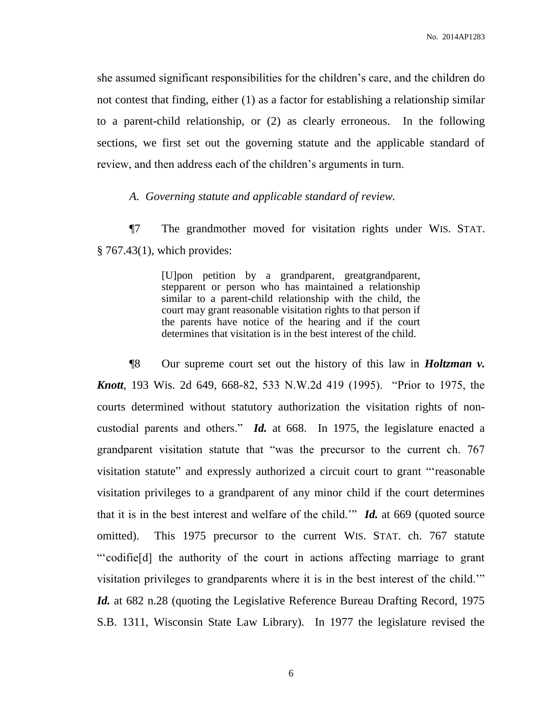she assumed significant responsibilities for the children's care, and the children do not contest that finding, either (1) as a factor for establishing a relationship similar to a parent-child relationship, or (2) as clearly erroneous. In the following sections, we first set out the governing statute and the applicable standard of review, and then address each of the children's arguments in turn.

# *A. Governing statute and applicable standard of review.*

¶7 The grandmother moved for visitation rights under WIS. STAT. § 767.43(1), which provides:

> [U]pon petition by a grandparent, greatgrandparent, stepparent or person who has maintained a relationship similar to a parent-child relationship with the child, the court may grant reasonable visitation rights to that person if the parents have notice of the hearing and if the court determines that visitation is in the best interest of the child.

¶8 Our supreme court set out the history of this law in *Holtzman v. Knott*, 193 Wis. 2d 649, 668-82, 533 N.W.2d 419 (1995). "Prior to 1975, the courts determined without statutory authorization the visitation rights of noncustodial parents and others." *Id.* at 668. In 1975, the legislature enacted a grandparent visitation statute that "was the precursor to the current ch. 767 visitation statute" and expressly authorized a circuit court to grant "'reasonable visitation privileges to a grandparent of any minor child if the court determines that it is in the best interest and welfare of the child.'" *Id.* at 669 (quoted source omitted). This 1975 precursor to the current WIS. STAT. ch. 767 statute "'codifie[d] the authority of the court in actions affecting marriage to grant visitation privileges to grandparents where it is in the best interest of the child.'" *Id.* at 682 n.28 (quoting the Legislative Reference Bureau Drafting Record, 1975 S.B. 1311, Wisconsin State Law Library). In 1977 the legislature revised the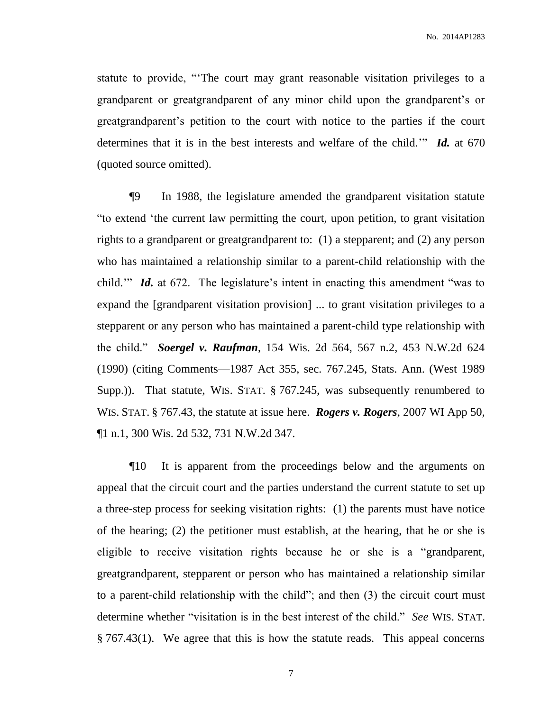statute to provide, "'The court may grant reasonable visitation privileges to a grandparent or greatgrandparent of any minor child upon the grandparent's or greatgrandparent's petition to the court with notice to the parties if the court determines that it is in the best interests and welfare of the child.'" *Id.* at 670 (quoted source omitted).

¶9 In 1988, the legislature amended the grandparent visitation statute "to extend 'the current law permitting the court, upon petition, to grant visitation rights to a grandparent or greatgrandparent to: (1) a stepparent; and (2) any person who has maintained a relationship similar to a parent-child relationship with the child.'" *Id.* at 672. The legislature's intent in enacting this amendment "was to expand the [grandparent visitation provision] ... to grant visitation privileges to a stepparent or any person who has maintained a parent-child type relationship with the child." *Soergel v. Raufman*, 154 Wis. 2d 564, 567 n.2, 453 N.W.2d 624 (1990) (citing Comments—1987 Act 355, sec. 767.245, Stats. Ann. (West 1989 Supp.)). That statute, WIS. STAT. § 767.245, was subsequently renumbered to WIS. STAT. § 767.43, the statute at issue here. *Rogers v. Rogers*, 2007 WI App 50, ¶1 n.1, 300 Wis. 2d 532, 731 N.W.2d 347.

¶10 It is apparent from the proceedings below and the arguments on appeal that the circuit court and the parties understand the current statute to set up a three-step process for seeking visitation rights: (1) the parents must have notice of the hearing; (2) the petitioner must establish, at the hearing, that he or she is eligible to receive visitation rights because he or she is a "grandparent, greatgrandparent, stepparent or person who has maintained a relationship similar to a parent-child relationship with the child"; and then (3) the circuit court must determine whether "visitation is in the best interest of the child." *See* WIS. STAT. § 767.43(1). We agree that this is how the statute reads. This appeal concerns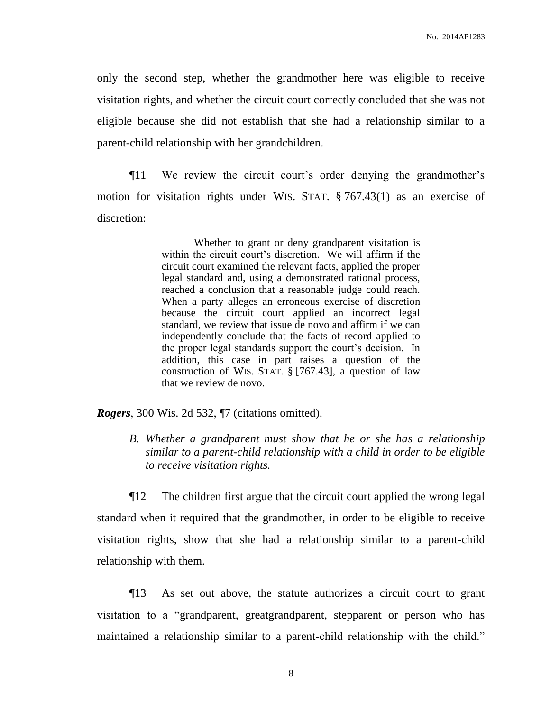only the second step, whether the grandmother here was eligible to receive visitation rights, and whether the circuit court correctly concluded that she was not eligible because she did not establish that she had a relationship similar to a parent-child relationship with her grandchildren.

¶11 We review the circuit court's order denying the grandmother's motion for visitation rights under WIS. STAT. § 767.43(1) as an exercise of discretion:

> Whether to grant or deny grandparent visitation is within the circuit court's discretion. We will affirm if the circuit court examined the relevant facts, applied the proper legal standard and, using a demonstrated rational process, reached a conclusion that a reasonable judge could reach. When a party alleges an erroneous exercise of discretion because the circuit court applied an incorrect legal standard, we review that issue de novo and affirm if we can independently conclude that the facts of record applied to the proper legal standards support the court's decision. In addition, this case in part raises a question of the construction of WIS. STAT. § [767.43], a question of law that we review de novo.

*Rogers*, 300 Wis. 2d 532, ¶7 (citations omitted).

*B. Whether a grandparent must show that he or she has a relationship similar to a parent-child relationship with a child in order to be eligible to receive visitation rights.*

¶12 The children first argue that the circuit court applied the wrong legal standard when it required that the grandmother, in order to be eligible to receive visitation rights, show that she had a relationship similar to a parent-child relationship with them.

¶13 As set out above, the statute authorizes a circuit court to grant visitation to a "grandparent, greatgrandparent, stepparent or person who has maintained a relationship similar to a parent-child relationship with the child."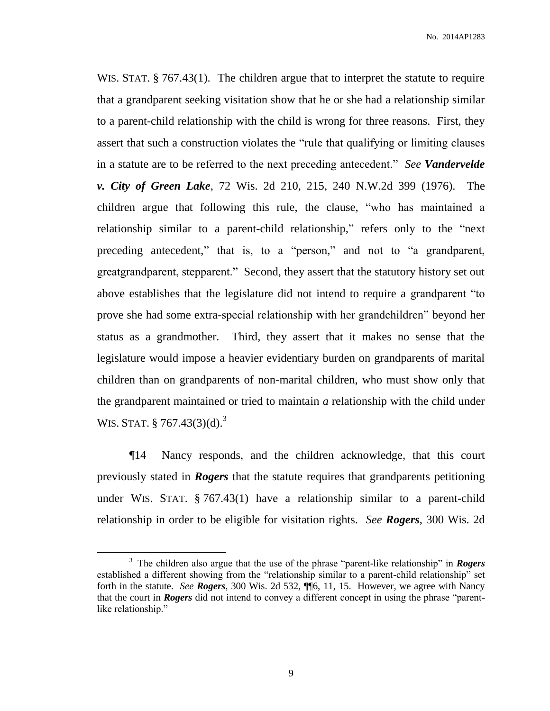WIS. STAT. § 767.43(1). The children argue that to interpret the statute to require that a grandparent seeking visitation show that he or she had a relationship similar to a parent-child relationship with the child is wrong for three reasons. First, they assert that such a construction violates the "rule that qualifying or limiting clauses in a statute are to be referred to the next preceding antecedent." *See Vandervelde v. City of Green Lake*, 72 Wis. 2d 210, 215, 240 N.W.2d 399 (1976). The children argue that following this rule, the clause, "who has maintained a relationship similar to a parent-child relationship," refers only to the "next preceding antecedent," that is, to a "person," and not to "a grandparent, greatgrandparent, stepparent." Second, they assert that the statutory history set out above establishes that the legislature did not intend to require a grandparent "to prove she had some extra-special relationship with her grandchildren" beyond her status as a grandmother. Third, they assert that it makes no sense that the legislature would impose a heavier evidentiary burden on grandparents of marital children than on grandparents of non-marital children, who must show only that the grandparent maintained or tried to maintain *a* relationship with the child under WIS. STAT. § 767.43(3)(d).<sup>3</sup>

¶14 Nancy responds, and the children acknowledge, that this court previously stated in *Rogers* that the statute requires that grandparents petitioning under WIS. STAT. § 767.43(1) have a relationship similar to a parent-child relationship in order to be eligible for visitation rights. *See Rogers*, 300 Wis. 2d

 $\overline{a}$ 

<sup>3</sup> The children also argue that the use of the phrase "parent-like relationship" in *Rogers* established a different showing from the "relationship similar to a parent-child relationship" set forth in the statute. *See Rogers*, 300 Wis. 2d 532, ¶¶6, 11, 15. However, we agree with Nancy that the court in *Rogers* did not intend to convey a different concept in using the phrase "parentlike relationship."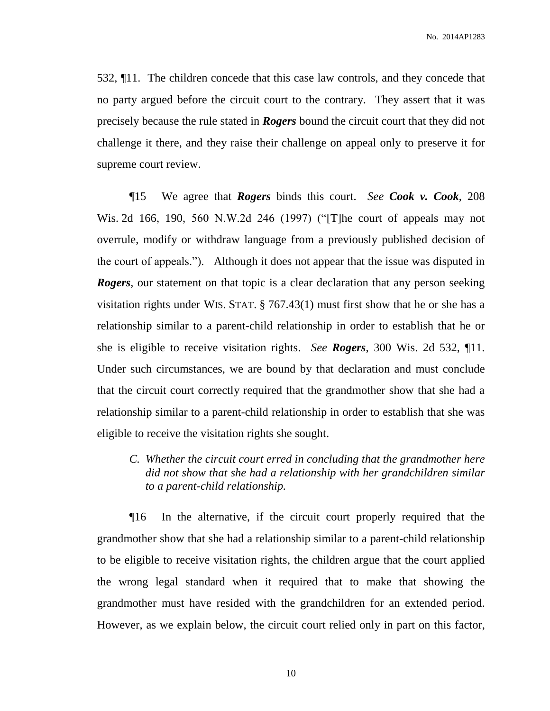532, ¶11. The children concede that this case law controls, and they concede that no party argued before the circuit court to the contrary. They assert that it was precisely because the rule stated in *Rogers* bound the circuit court that they did not challenge it there, and they raise their challenge on appeal only to preserve it for supreme court review.

¶15 We agree that *Rogers* binds this court. *See Cook v. Cook*, 208 Wis. 2d 166, 190, 560 N.W.2d 246 (1997) ("[T]he court of appeals may not overrule, modify or withdraw language from a previously published decision of the court of appeals."). Although it does not appear that the issue was disputed in *Rogers*, our statement on that topic is a clear declaration that any person seeking visitation rights under WIS. STAT. § 767.43(1) must first show that he or she has a relationship similar to a parent-child relationship in order to establish that he or she is eligible to receive visitation rights. *See Rogers*, 300 Wis. 2d 532, ¶11. Under such circumstances, we are bound by that declaration and must conclude that the circuit court correctly required that the grandmother show that she had a relationship similar to a parent-child relationship in order to establish that she was eligible to receive the visitation rights she sought.

*C. Whether the circuit court erred in concluding that the grandmother here did not show that she had a relationship with her grandchildren similar to a parent-child relationship.*

¶16 In the alternative, if the circuit court properly required that the grandmother show that she had a relationship similar to a parent-child relationship to be eligible to receive visitation rights, the children argue that the court applied the wrong legal standard when it required that to make that showing the grandmother must have resided with the grandchildren for an extended period. However, as we explain below, the circuit court relied only in part on this factor,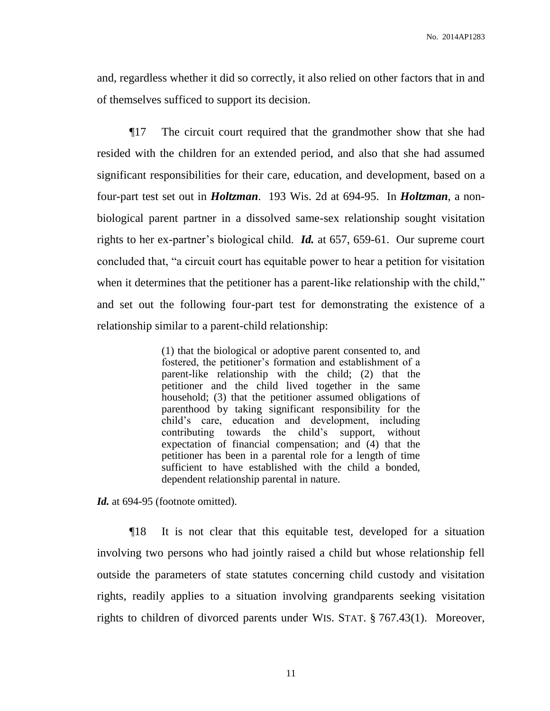and, regardless whether it did so correctly, it also relied on other factors that in and of themselves sufficed to support its decision.

¶17 The circuit court required that the grandmother show that she had resided with the children for an extended period, and also that she had assumed significant responsibilities for their care, education, and development, based on a four-part test set out in *Holtzman*. 193 Wis. 2d at 694-95. In *Holtzman*, a nonbiological parent partner in a dissolved same-sex relationship sought visitation rights to her ex-partner's biological child. *Id.* at 657, 659-61. Our supreme court concluded that, "a circuit court has equitable power to hear a petition for visitation when it determines that the petitioner has a parent-like relationship with the child," and set out the following four-part test for demonstrating the existence of a relationship similar to a parent-child relationship:

> (1) that the biological or adoptive parent consented to, and fostered, the petitioner's formation and establishment of a parent-like relationship with the child; (2) that the petitioner and the child lived together in the same household; (3) that the petitioner assumed obligations of parenthood by taking significant responsibility for the child's care, education and development, including contributing towards the child's support, without expectation of financial compensation; and (4) that the petitioner has been in a parental role for a length of time sufficient to have established with the child a bonded, dependent relationship parental in nature.

Id. at 694-95 (footnote omitted).

¶18 It is not clear that this equitable test, developed for a situation involving two persons who had jointly raised a child but whose relationship fell outside the parameters of state statutes concerning child custody and visitation rights, readily applies to a situation involving grandparents seeking visitation rights to children of divorced parents under WIS. STAT. § 767.43(1). Moreover,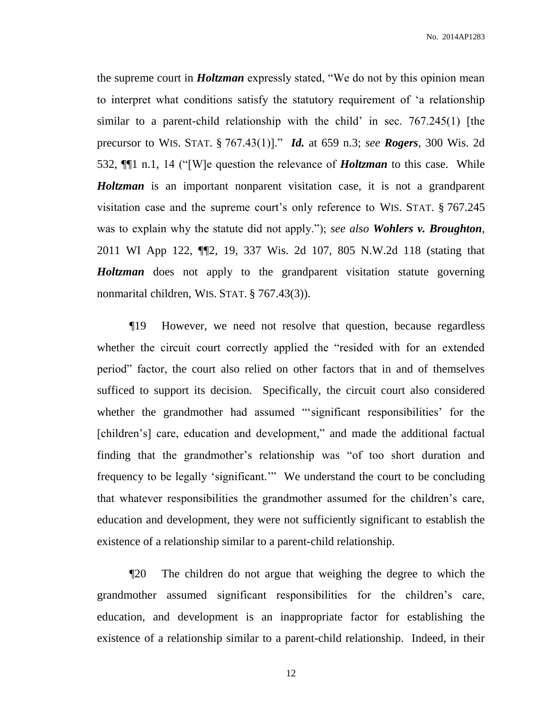the supreme court in *Holtzman* expressly stated, "We do not by this opinion mean to interpret what conditions satisfy the statutory requirement of 'a relationship similar to a parent-child relationship with the child' in sec. 767.245(1) [the precursor to WIS. STAT. § 767.43(1)]." *Id.* at 659 n.3; *see Rogers*, 300 Wis. 2d 532, ¶¶1 n.1, 14 ("[W]e question the relevance of *Holtzman* to this case. While *Holtzman* is an important nonparent visitation case, it is not a grandparent visitation case and the supreme court's only reference to WIS. STAT. § 767.245 was to explain why the statute did not apply."); *see also Wohlers v. Broughton*, 2011 WI App 122, ¶¶2, 19, 337 Wis. 2d 107, 805 N.W.2d 118 (stating that *Holtzman* does not apply to the grandparent visitation statute governing nonmarital children, WIS. STAT. § 767.43(3)).

¶19 However, we need not resolve that question, because regardless whether the circuit court correctly applied the "resided with for an extended period" factor, the court also relied on other factors that in and of themselves sufficed to support its decision. Specifically, the circuit court also considered whether the grandmother had assumed "'significant responsibilities' for the [children's] care, education and development," and made the additional factual finding that the grandmother's relationship was "of too short duration and frequency to be legally 'significant.'" We understand the court to be concluding that whatever responsibilities the grandmother assumed for the children's care, education and development, they were not sufficiently significant to establish the existence of a relationship similar to a parent-child relationship.

¶20 The children do not argue that weighing the degree to which the grandmother assumed significant responsibilities for the children's care, education, and development is an inappropriate factor for establishing the existence of a relationship similar to a parent-child relationship. Indeed, in their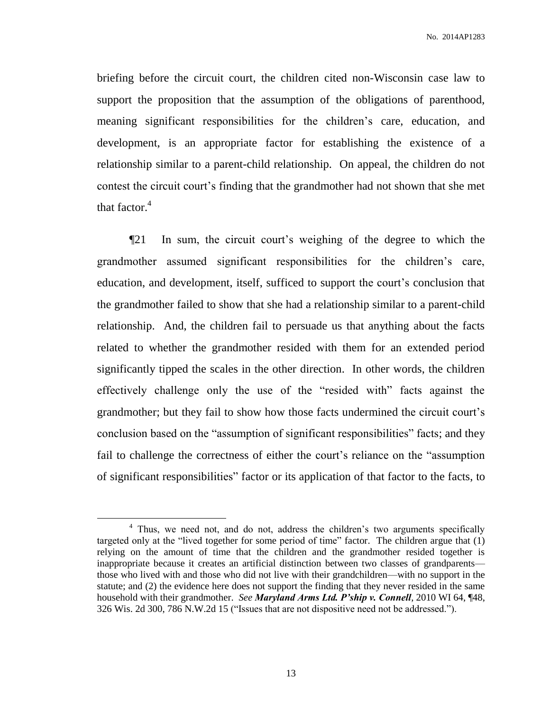No. 2014AP1283

briefing before the circuit court, the children cited non-Wisconsin case law to support the proposition that the assumption of the obligations of parenthood, meaning significant responsibilities for the children's care, education, and development, is an appropriate factor for establishing the existence of a relationship similar to a parent-child relationship. On appeal, the children do not contest the circuit court's finding that the grandmother had not shown that she met that factor. 4

¶21 In sum, the circuit court's weighing of the degree to which the grandmother assumed significant responsibilities for the children's care, education, and development, itself, sufficed to support the court's conclusion that the grandmother failed to show that she had a relationship similar to a parent-child relationship. And, the children fail to persuade us that anything about the facts related to whether the grandmother resided with them for an extended period significantly tipped the scales in the other direction. In other words, the children effectively challenge only the use of the "resided with" facts against the grandmother; but they fail to show how those facts undermined the circuit court's conclusion based on the "assumption of significant responsibilities" facts; and they fail to challenge the correctness of either the court's reliance on the "assumption of significant responsibilities" factor or its application of that factor to the facts, to

 $\overline{a}$ 

<sup>&</sup>lt;sup>4</sup> Thus, we need not, and do not, address the children's two arguments specifically targeted only at the "lived together for some period of time" factor. The children argue that (1) relying on the amount of time that the children and the grandmother resided together is inappropriate because it creates an artificial distinction between two classes of grandparents those who lived with and those who did not live with their grandchildren—with no support in the statute; and (2) the evidence here does not support the finding that they never resided in the same household with their grandmother. *See Maryland Arms Ltd. P'ship v. Connell*, 2010 WI 64, ¶48, 326 Wis. 2d 300, 786 N.W.2d 15 ("Issues that are not dispositive need not be addressed.").